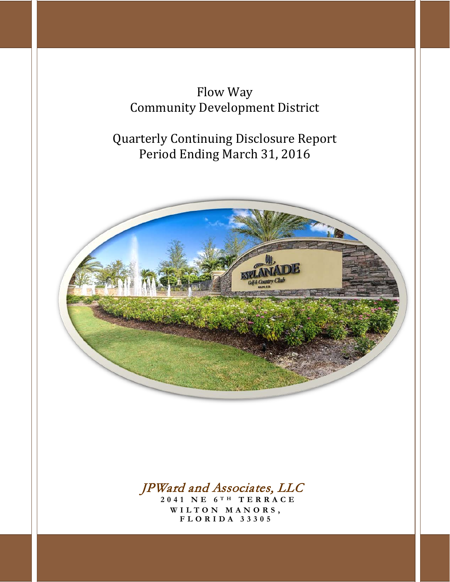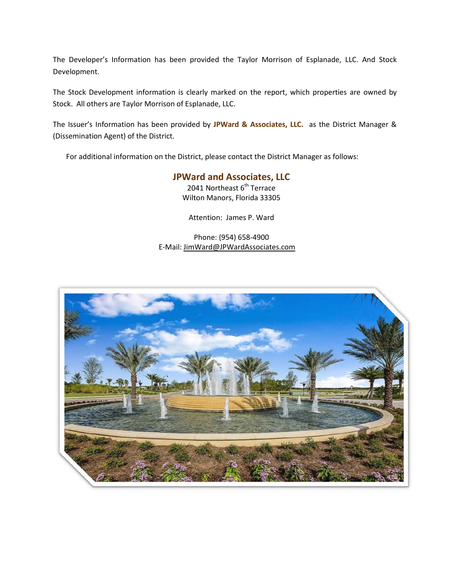The Developer's Information has been provided the Taylor Morrison of Esplanade, LLC. And Stock Development.

The Stock Development information is clearly marked on the report, which properties are owned by Stock. All others are Taylor Morrison of Esplanade, LLC.

The Issuer's Information has been provided by **JPWard & Associates, LLC.** as the District Manager & (Dissemination Agent) of the District.

For additional information on the District, please contact the District Manager as follows:

# **JPWard and Associates, LLC**

2041 Northeast  $6<sup>th</sup>$  Terrace Wilton Manors, Florida 33305

Attention: James P. Ward

Phone: (954) 658-4900 E-Mail: [JimWard@JPWardAssociates.com](mailto:JimWard@JPWardAssociates.com)

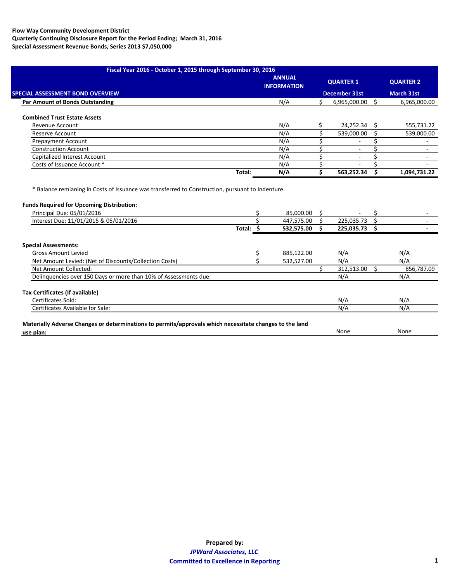|                                         |        | <b>ANNUAL</b><br><b>INFORMATION</b> | <b>QUARTER 1</b>  | <b>QUARTER 2</b>  |
|-----------------------------------------|--------|-------------------------------------|-------------------|-------------------|
| <b>SPECIAL ASSESSMENT BOND OVERVIEW</b> |        |                                     | December 31st     | <b>March 31st</b> |
| <b>Par Amount of Bonds Outstanding</b>  |        | N/A                                 | $6,965,000.00$ \$ | 6,965,000.00      |
| <b>Combined Trust Estate Assets</b>     |        |                                     |                   |                   |
| Revenue Account                         |        | N/A                                 | 24,252.34 \$      | 555,731.22        |
| Reserve Account                         |        | N/A                                 | 539,000.00        | 539,000.00        |
| <b>Prepayment Account</b>               |        | N/A                                 |                   |                   |
| <b>Construction Account</b>             |        | N/A                                 |                   |                   |
| Capitalized Interest Account            |        | N/A                                 |                   |                   |
| Costs of Issuance Account *             |        | N/A                                 |                   |                   |
|                                         | Total: | N/A                                 | 563,252.34        | 1,094,731.22      |

## **Funds Required for Upcoming Distribution:**

| Principal Due: 05/01/2016                                                                                                   |           | 85,000.00  |            |            |
|-----------------------------------------------------------------------------------------------------------------------------|-----------|------------|------------|------------|
| Interest Due: 11/01/2015 & 05/01/2016                                                                                       |           | 447,575.00 | 225,035.73 |            |
|                                                                                                                             | Total: \$ | 532,575.00 | 225,035.73 |            |
| Special Assessments:                                                                                                        |           |            |            |            |
| Gross Amount Levied                                                                                                         |           | 885,122.00 | N/A        | N/A        |
| Net Amount Levied: (Net of Discounts/Collection Costs)                                                                      |           | 532,527.00 | N/A        | N/A        |
| Net Amount Collected:                                                                                                       |           |            | 312,513.00 | 856,787.09 |
| Delinguencies over 150 Days or more than 10% of Assessments due:                                                            |           |            | N/A        | N/A        |
| Tax Certificates (If available)                                                                                             |           |            |            |            |
| Certificates Sold:                                                                                                          |           |            | N/A        | N/A        |
| Certificates Available for Sale:                                                                                            |           |            | N/A        | N/A        |
|                                                                                                                             |           |            |            |            |
| Materially Adverse Changes or determinations to permits/approvals which necessitate changes to the land<br><u>use plan:</u> |           |            | None       | None       |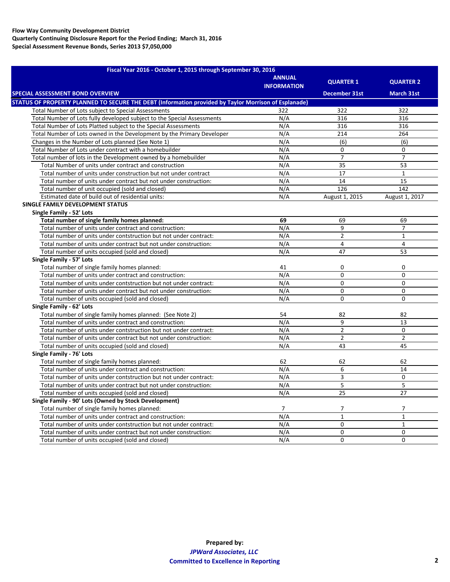| Fiscal Year 2016 - October 1, 2015 through September 30, 2016                                        |                                     |                      |                   |  |  |  |  |
|------------------------------------------------------------------------------------------------------|-------------------------------------|----------------------|-------------------|--|--|--|--|
|                                                                                                      | <b>ANNUAL</b><br><b>INFORMATION</b> | <b>QUARTER 1</b>     | <b>QUARTER 2</b>  |  |  |  |  |
| <b>SPECIAL ASSESSMENT BOND OVERVIEW</b>                                                              |                                     | <b>December 31st</b> | <b>March 31st</b> |  |  |  |  |
| STATUS OF PROPERTY PLANNED TO SECURE THE DEBT (Information provided by Taylor Morrison of Esplanade) |                                     |                      |                   |  |  |  |  |
| Total Number of Lots subject to Special Assessments                                                  | 322                                 | 322                  | 322               |  |  |  |  |
| Total Number of Lots fully developed subject to the Special Assessments                              | N/A                                 | 316                  | 316               |  |  |  |  |
| Total Number of Lots Platted subject to the Special Assessments                                      | N/A                                 | 316                  | 316               |  |  |  |  |
| Total Number of Lots owned in the Development by the Primary Developer                               | N/A                                 | 214                  | 264               |  |  |  |  |
| Changes in the Number of Lots planned (See Note 1)                                                   | N/A                                 | (6)                  | (6)               |  |  |  |  |
| Total Number of Lots under contract with a homebuilder                                               | N/A                                 | $\Omega$             | $\Omega$          |  |  |  |  |
| Total number of lots in the Development owned by a homebuilder                                       | N/A                                 | $\overline{7}$       | $\overline{7}$    |  |  |  |  |
| Total Number of units under contract and construction                                                | N/A                                 | 35                   | 53                |  |  |  |  |
| Total number of units under construction but not under contract                                      | N/A                                 | 17                   | $\mathbf{1}$      |  |  |  |  |
| Total number of units under contract but not under construction:                                     | N/A                                 | 14                   | 15                |  |  |  |  |
| Total number of unit occupied (sold and closed)                                                      | N/A                                 | 126                  | 142               |  |  |  |  |
| Estimated date of build out of residential units:                                                    | N/A                                 | August 1, 2015       | August 1, 2017    |  |  |  |  |
| <b>SINGLE FAMILY DEVELOPMENT STATUS</b>                                                              |                                     |                      |                   |  |  |  |  |
| Single Family - 52' Lots                                                                             |                                     |                      |                   |  |  |  |  |
| Total number of single family homes planned:                                                         | 69                                  | 69                   | 69                |  |  |  |  |
| Total number of units under contract and construction:                                               | N/A                                 | 9                    | $\overline{7}$    |  |  |  |  |
| Total number of units under contstruction but not under contract:                                    | N/A                                 | $\overline{2}$       | $\mathbf{1}$      |  |  |  |  |
| Total number of units under contract but not under construction:                                     | N/A                                 | 4                    | $\overline{4}$    |  |  |  |  |
| Total number of units occupied (sold and closed)                                                     | N/A                                 | 47                   | 53                |  |  |  |  |
| Single Family - 57' Lots                                                                             |                                     |                      |                   |  |  |  |  |
| Total number of single family homes planned:                                                         | 41                                  | $\mathbf{0}$         | $\mathbf 0$       |  |  |  |  |
| Total number of units under contract and construction:                                               | N/A                                 | $\Omega$             | $\Omega$          |  |  |  |  |
| Total number of units under contstruction but not under contract:                                    | N/A                                 | 0                    | $\mathbf 0$       |  |  |  |  |
| Total number of units under contract but not under construction:                                     | N/A                                 | $\overline{0}$       | $\mathbf 0$       |  |  |  |  |
| Total number of units occupied (sold and closed)                                                     | N/A                                 | $\Omega$             | $\Omega$          |  |  |  |  |
| Single Family - 62' Lots                                                                             |                                     |                      |                   |  |  |  |  |
| Total number of single family homes planned: (See Note 2)                                            | 54                                  | 82                   | 82                |  |  |  |  |
| Total number of units under contract and construction:                                               | N/A                                 | 9                    | 13                |  |  |  |  |
| Total number of units under contstruction but not under contract:                                    | N/A                                 | $\overline{2}$       | $\mathbf 0$       |  |  |  |  |
| Total number of units under contract but not under construction:                                     | N/A                                 | $\overline{2}$       | $\overline{2}$    |  |  |  |  |
| Total number of units occupied (sold and closed)                                                     | N/A                                 | 43                   | 45                |  |  |  |  |
| Single Family - 76' Lots                                                                             |                                     |                      |                   |  |  |  |  |
| Total number of single family homes planned:                                                         | 62                                  | 62                   | 62                |  |  |  |  |
| Total number of units under contract and construction:                                               | N/A                                 | 6                    | 14                |  |  |  |  |
| Total number of units under contstruction but not under contract:                                    | N/A                                 | 3                    | $\mathbf 0$       |  |  |  |  |
| Total number of units under contract but not under construction:                                     | N/A                                 | 5                    | 5                 |  |  |  |  |
| Total number of units occupied (sold and closed)                                                     | N/A                                 | 25                   | 27                |  |  |  |  |
| Single Family - 90' Lots (Owned by Stock Development)                                                |                                     |                      |                   |  |  |  |  |
| Total number of single family homes planned:                                                         | $\overline{7}$                      | 7                    | 7                 |  |  |  |  |
| Total number of units under contract and construction:                                               | N/A                                 | $\mathbf 1$          | $\mathbf{1}$      |  |  |  |  |
| Total number of units under contstruction but not under contract:                                    | N/A                                 | 0                    | $\mathbf{1}$      |  |  |  |  |
| Total number of units under contract but not under construction:                                     | N/A                                 | $\mathbf 0$          | $\mathbf 0$       |  |  |  |  |
| Total number of units occupied (sold and closed)                                                     | N/A                                 | $\Omega$             | $\Omega$          |  |  |  |  |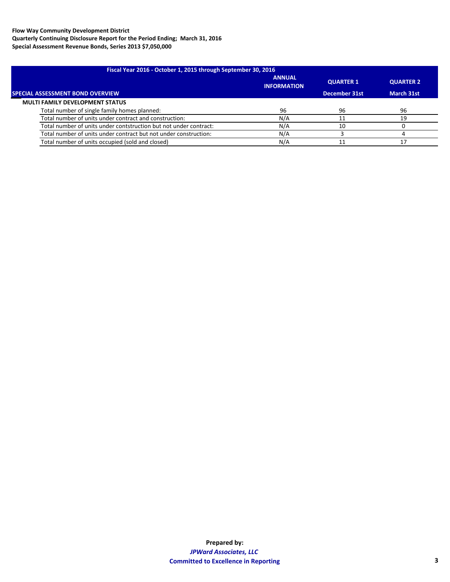| Fiscal Year 2016 - October 1, 2015 through September 30, 2016     |                                     |                  |            |  |  |  |
|-------------------------------------------------------------------|-------------------------------------|------------------|------------|--|--|--|
|                                                                   | <b>ANNUAL</b><br><b>INFORMATION</b> | <b>QUARTER 1</b> | QUARTER 2  |  |  |  |
| <b>SPECIAL ASSESSMENT BOND OVERVIEW</b>                           |                                     | December 31st    | March 31st |  |  |  |
| <b>MULTI FAMILY DEVELOPMENT STATUS</b>                            |                                     |                  |            |  |  |  |
| Total number of single family homes planned:                      | 96                                  | 96               | 96         |  |  |  |
| Total number of units under contract and construction:            | N/A                                 |                  | 19         |  |  |  |
| Total number of units under contstruction but not under contract: | N/A                                 | 10               |            |  |  |  |
| Total number of units under contract but not under construction:  | N/A                                 |                  |            |  |  |  |
| Total number of units occupied (sold and closed)                  | N/A                                 |                  |            |  |  |  |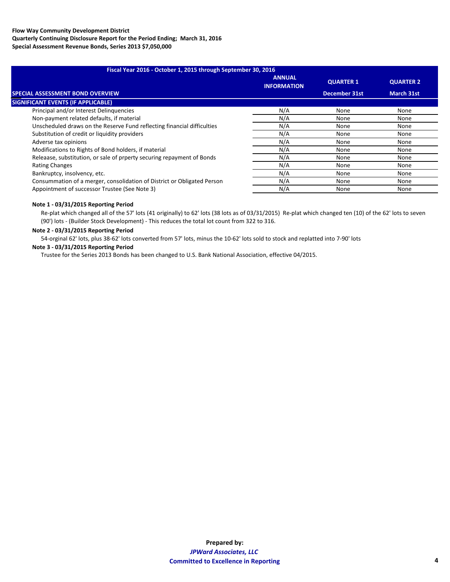| Fiscal Year 2016 - October 1, 2015 through September 30, 2016           |                                     |                      |                   |  |  |  |
|-------------------------------------------------------------------------|-------------------------------------|----------------------|-------------------|--|--|--|
|                                                                         | <b>ANNUAL</b><br><b>INFORMATION</b> | <b>QUARTER 1</b>     | <b>QUARTER 2</b>  |  |  |  |
| <b>SPECIAL ASSESSMENT BOND OVERVIEW</b>                                 |                                     | <b>December 31st</b> | <b>March 31st</b> |  |  |  |
| <b>SIGNIFICANT EVENTS (IF APPLICABLE)</b>                               |                                     |                      |                   |  |  |  |
| Principal and/or Interest Delinguencies                                 | N/A                                 | None                 | None              |  |  |  |
| Non-payment related defaults, if material                               | N/A                                 | None                 | None              |  |  |  |
| Unscheduled draws on the Reserve Fund reflecting financial difficulties | N/A                                 | None                 | None              |  |  |  |
| Substitution of credit or liquidity providers                           | N/A                                 | None                 | None              |  |  |  |
| Adverse tax opinions                                                    | N/A                                 | None                 | None              |  |  |  |
| Modifications to Rights of Bond holders, if material                    | N/A                                 | None                 | None              |  |  |  |
| Releaase, substitution, or sale of prperty securing repayment of Bonds  | N/A                                 | None                 | None              |  |  |  |
| <b>Rating Changes</b>                                                   | N/A                                 | None                 | None              |  |  |  |
| Bankruptcy, insolvency, etc.                                            | N/A                                 | None                 | None              |  |  |  |
| Consummation of a merger, consolidation of District or Obligated Person | N/A                                 | None                 | None              |  |  |  |
| Appointment of successor Trustee (See Note 3)                           | N/A                                 | None                 | None              |  |  |  |
|                                                                         |                                     |                      |                   |  |  |  |

#### **Note 1 - 03/31/2015 Reporting Period**

Re-plat which changed all of the 57' lots (41 originally) to 62' lots (38 lots as of 03/31/2015) Re-plat which changed ten (10) of the 62' lots to seven (90') lots - (Builder Stock Development) - This reduces the total lot count from 322 to 316.

#### **Note 2 - 03/31/2015 Reporting Period**

54-orginal 62' lots, plus 38-62' lots converted from 57' lots, minus the 10-62' lots sold to stock and replatted into 7-90' lots

# **Note 3 - 03/31/2015 Reporting Period**

Trustee for the Series 2013 Bonds has been changed to U.S. Bank National Association, effective 04/2015.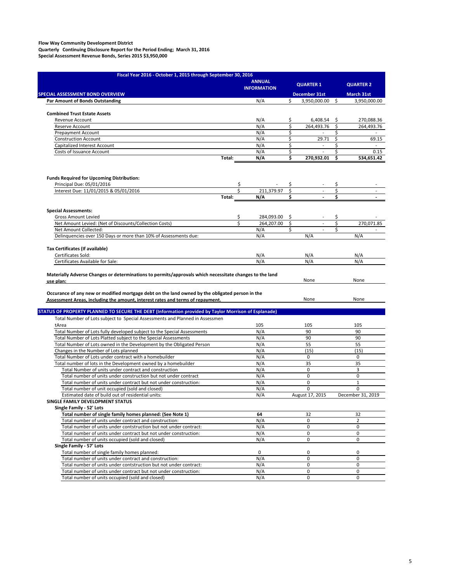| <b>QUARTER 1</b><br><b>INFORMATION</b><br>SPECIAL ASSESSMENT BOND OVERVIEW<br>December 31st<br>Ŝ.<br>3,950,000.00<br>N/A<br>Ŝ<br><b>Par Amount of Bonds Outstanding</b><br><b>Combined Trust Estate Assets</b><br>N/A<br>\$<br>6,408.54<br>Revenue Account<br>\$,<br>\$<br>\$<br>N/A<br>264,493.76<br>Reserve Account<br>N/A<br>\$<br>\$<br>Prepayment Account<br>$\overline{\phantom{a}}$<br>\$<br>\$<br>N/A<br>29.71<br><b>Construction Account</b><br>Capitalized Interest Account<br>\$<br>\$<br>N/A<br>$\overline{\phantom{a}}$<br>\$<br>\$<br>N/A<br>Costs of Issuance Account<br>$\overline{\phantom{a}}$<br>Ś<br>270,932.01<br>\$<br>Total:<br>N/A<br><b>Funds Required for Upcoming Distribution:</b><br>Principal Due: 05/01/2016<br>\$<br>\$<br>\$<br>\$<br>\$<br>Interest Due: 11/01/2015 & 05/01/2016<br>Ś<br>211,379.97<br>$\overline{\phantom{a}}$<br>\$<br>\$<br>Total:<br>N/A<br><b>Special Assessments:</b><br>\$<br><b>Gross Amount Levied</b><br>284,093.00<br>\$<br>\$<br>Ś<br>\$<br>Net Amount Levied: (Net of Discounts/Collection Costs)<br>264,207.00<br>\$<br>\$<br>Net Amount Collected:<br>N/A<br>\$<br>$\overline{a}$<br>Delinguencies over 150 Days or more than 10% of Assessments due:<br>N/A<br>N/A<br>N/A<br>Tax Certificates (If available)<br>Certificates Sold:<br>N/A<br>N/A<br>N/A<br>Certificates Available for Sale:<br>N/A<br>N/A<br>N/A<br>Materially Adverse Changes or determinations to permits/approvals which necessitate changes to the land<br>None<br>None<br>use plan:<br>Occurance of any new or modified mortgage debt on the land owned by the obligated person in the<br>None<br>None<br>Assessment Areas, including the amount, interest rates and terms of repayment.<br>STATUS OF PROPERTY PLANNED TO SECURE THE DEBT (Information provided by Taylor Morrison of Esplanade)<br>Total Number of Lots subject to Special Assessments and Planned in Assessmen<br>tArea<br>105<br>105<br>105<br>Total Number of Lots fully developed subject to the Special Assessments<br>N/A<br>90<br>90<br>90<br>Total Number of Lots Platted subject to the Special Assessments<br>N/A<br>90<br>Total Number of Lots owned in the Development by the Obligated Person<br>N/A<br>55<br>55<br>(15)<br>Changes in the Number of Lots planned<br>N/A<br>(15)<br>Total Number of Lots under contract with a homebuilder<br>N/A<br>0<br>0<br>35<br>Total number of lots in the Development owned by a homebuilder<br>N/A<br>35<br>Total Number of units under contract and construction<br>N/A<br>3<br>0<br>0<br>0<br>Total number of units under construction but not under contract<br>N/A<br>Total number of units under contract but not under construction:<br>N/A<br>0<br>$\mathbf{1}$<br>0<br>N/A<br>0<br>Total number of unit occupied (sold and closed)<br>Estimated date of build out of residential units:<br>N/A<br>August 17, 2015<br>December 31, 2019<br>SINGLE FAMILY DEVELOPMENT STATUS<br>Single Family - 52' Lots<br>Total number of single family homes planned: (See Note 1)<br>32<br>64<br>32<br>Total number of units under contract and construction:<br>N/A<br>0<br>$\overline{2}$<br>Total number of units under contstruction but not under contract:<br>N/A<br>0<br>0<br>Total number of units under contract but not under construction:<br>N/A<br>0<br>0<br>0<br>Total number of units occupied (sold and closed)<br>N/A<br>0<br>Single Family - 57' Lots<br>Total number of single family homes planned:<br>0<br>0<br>0<br>Total number of units under contract and construction:<br>N/A<br>0<br>$\mathbf 0$<br>Total number of units under contstruction but not under contract:<br>N/A<br>0<br>0<br>Total number of units under contract but not under construction:<br>0<br>0<br>N/A | Fiscal Year 2016 - October 1, 2015 through September 30, 2016 | <b>ANNUAL</b> |  |  |                                        |
|---------------------------------------------------------------------------------------------------------------------------------------------------------------------------------------------------------------------------------------------------------------------------------------------------------------------------------------------------------------------------------------------------------------------------------------------------------------------------------------------------------------------------------------------------------------------------------------------------------------------------------------------------------------------------------------------------------------------------------------------------------------------------------------------------------------------------------------------------------------------------------------------------------------------------------------------------------------------------------------------------------------------------------------------------------------------------------------------------------------------------------------------------------------------------------------------------------------------------------------------------------------------------------------------------------------------------------------------------------------------------------------------------------------------------------------------------------------------------------------------------------------------------------------------------------------------------------------------------------------------------------------------------------------------------------------------------------------------------------------------------------------------------------------------------------------------------------------------------------------------------------------------------------------------------------------------------------------------------------------------------------------------------------------------------------------------------------------------------------------------------------------------------------------------------------------------------------------------------------------------------------------------------------------------------------------------------------------------------------------------------------------------------------------------------------------------------------------------------------------------------------------------------------------------------------------------------------------------------------------------------------------------------------------------------------------------------------------------------------------------------------------------------------------------------------------------------------------------------------------------------------------------------------------------------------------------------------------------------------------------------------------------------------------------------------------------------------------------------------------------------------------------------------------------------------------------------------------------------------------------------------------------------------------------------------------------------------------------------------------------------------------------------------------------------------------------------------------------------------------------------------------------------------------------------------------------------------------------------------------------------------------------------------------------------------------------------------------------------------------------------------------|---------------------------------------------------------------|---------------|--|--|----------------------------------------|
|                                                                                                                                                                                                                                                                                                                                                                                                                                                                                                                                                                                                                                                                                                                                                                                                                                                                                                                                                                                                                                                                                                                                                                                                                                                                                                                                                                                                                                                                                                                                                                                                                                                                                                                                                                                                                                                                                                                                                                                                                                                                                                                                                                                                                                                                                                                                                                                                                                                                                                                                                                                                                                                                                                                                                                                                                                                                                                                                                                                                                                                                                                                                                                                                                                                                                                                                                                                                                                                                                                                                                                                                                                                                                                                                                               |                                                               |               |  |  | <b>QUARTER 2</b>                       |
|                                                                                                                                                                                                                                                                                                                                                                                                                                                                                                                                                                                                                                                                                                                                                                                                                                                                                                                                                                                                                                                                                                                                                                                                                                                                                                                                                                                                                                                                                                                                                                                                                                                                                                                                                                                                                                                                                                                                                                                                                                                                                                                                                                                                                                                                                                                                                                                                                                                                                                                                                                                                                                                                                                                                                                                                                                                                                                                                                                                                                                                                                                                                                                                                                                                                                                                                                                                                                                                                                                                                                                                                                                                                                                                                                               |                                                               |               |  |  | <b>March 31st</b>                      |
|                                                                                                                                                                                                                                                                                                                                                                                                                                                                                                                                                                                                                                                                                                                                                                                                                                                                                                                                                                                                                                                                                                                                                                                                                                                                                                                                                                                                                                                                                                                                                                                                                                                                                                                                                                                                                                                                                                                                                                                                                                                                                                                                                                                                                                                                                                                                                                                                                                                                                                                                                                                                                                                                                                                                                                                                                                                                                                                                                                                                                                                                                                                                                                                                                                                                                                                                                                                                                                                                                                                                                                                                                                                                                                                                                               |                                                               |               |  |  | 3,950,000.00                           |
|                                                                                                                                                                                                                                                                                                                                                                                                                                                                                                                                                                                                                                                                                                                                                                                                                                                                                                                                                                                                                                                                                                                                                                                                                                                                                                                                                                                                                                                                                                                                                                                                                                                                                                                                                                                                                                                                                                                                                                                                                                                                                                                                                                                                                                                                                                                                                                                                                                                                                                                                                                                                                                                                                                                                                                                                                                                                                                                                                                                                                                                                                                                                                                                                                                                                                                                                                                                                                                                                                                                                                                                                                                                                                                                                                               |                                                               |               |  |  |                                        |
|                                                                                                                                                                                                                                                                                                                                                                                                                                                                                                                                                                                                                                                                                                                                                                                                                                                                                                                                                                                                                                                                                                                                                                                                                                                                                                                                                                                                                                                                                                                                                                                                                                                                                                                                                                                                                                                                                                                                                                                                                                                                                                                                                                                                                                                                                                                                                                                                                                                                                                                                                                                                                                                                                                                                                                                                                                                                                                                                                                                                                                                                                                                                                                                                                                                                                                                                                                                                                                                                                                                                                                                                                                                                                                                                                               |                                                               |               |  |  | 270,088.36                             |
|                                                                                                                                                                                                                                                                                                                                                                                                                                                                                                                                                                                                                                                                                                                                                                                                                                                                                                                                                                                                                                                                                                                                                                                                                                                                                                                                                                                                                                                                                                                                                                                                                                                                                                                                                                                                                                                                                                                                                                                                                                                                                                                                                                                                                                                                                                                                                                                                                                                                                                                                                                                                                                                                                                                                                                                                                                                                                                                                                                                                                                                                                                                                                                                                                                                                                                                                                                                                                                                                                                                                                                                                                                                                                                                                                               |                                                               |               |  |  | 264,493.76                             |
|                                                                                                                                                                                                                                                                                                                                                                                                                                                                                                                                                                                                                                                                                                                                                                                                                                                                                                                                                                                                                                                                                                                                                                                                                                                                                                                                                                                                                                                                                                                                                                                                                                                                                                                                                                                                                                                                                                                                                                                                                                                                                                                                                                                                                                                                                                                                                                                                                                                                                                                                                                                                                                                                                                                                                                                                                                                                                                                                                                                                                                                                                                                                                                                                                                                                                                                                                                                                                                                                                                                                                                                                                                                                                                                                                               |                                                               |               |  |  | $\overline{\phantom{a}}$               |
|                                                                                                                                                                                                                                                                                                                                                                                                                                                                                                                                                                                                                                                                                                                                                                                                                                                                                                                                                                                                                                                                                                                                                                                                                                                                                                                                                                                                                                                                                                                                                                                                                                                                                                                                                                                                                                                                                                                                                                                                                                                                                                                                                                                                                                                                                                                                                                                                                                                                                                                                                                                                                                                                                                                                                                                                                                                                                                                                                                                                                                                                                                                                                                                                                                                                                                                                                                                                                                                                                                                                                                                                                                                                                                                                                               |                                                               |               |  |  | 69.15                                  |
|                                                                                                                                                                                                                                                                                                                                                                                                                                                                                                                                                                                                                                                                                                                                                                                                                                                                                                                                                                                                                                                                                                                                                                                                                                                                                                                                                                                                                                                                                                                                                                                                                                                                                                                                                                                                                                                                                                                                                                                                                                                                                                                                                                                                                                                                                                                                                                                                                                                                                                                                                                                                                                                                                                                                                                                                                                                                                                                                                                                                                                                                                                                                                                                                                                                                                                                                                                                                                                                                                                                                                                                                                                                                                                                                                               |                                                               |               |  |  |                                        |
|                                                                                                                                                                                                                                                                                                                                                                                                                                                                                                                                                                                                                                                                                                                                                                                                                                                                                                                                                                                                                                                                                                                                                                                                                                                                                                                                                                                                                                                                                                                                                                                                                                                                                                                                                                                                                                                                                                                                                                                                                                                                                                                                                                                                                                                                                                                                                                                                                                                                                                                                                                                                                                                                                                                                                                                                                                                                                                                                                                                                                                                                                                                                                                                                                                                                                                                                                                                                                                                                                                                                                                                                                                                                                                                                                               |                                                               |               |  |  | 0.15                                   |
|                                                                                                                                                                                                                                                                                                                                                                                                                                                                                                                                                                                                                                                                                                                                                                                                                                                                                                                                                                                                                                                                                                                                                                                                                                                                                                                                                                                                                                                                                                                                                                                                                                                                                                                                                                                                                                                                                                                                                                                                                                                                                                                                                                                                                                                                                                                                                                                                                                                                                                                                                                                                                                                                                                                                                                                                                                                                                                                                                                                                                                                                                                                                                                                                                                                                                                                                                                                                                                                                                                                                                                                                                                                                                                                                                               |                                                               |               |  |  | 534,651.42                             |
|                                                                                                                                                                                                                                                                                                                                                                                                                                                                                                                                                                                                                                                                                                                                                                                                                                                                                                                                                                                                                                                                                                                                                                                                                                                                                                                                                                                                                                                                                                                                                                                                                                                                                                                                                                                                                                                                                                                                                                                                                                                                                                                                                                                                                                                                                                                                                                                                                                                                                                                                                                                                                                                                                                                                                                                                                                                                                                                                                                                                                                                                                                                                                                                                                                                                                                                                                                                                                                                                                                                                                                                                                                                                                                                                                               |                                                               |               |  |  |                                        |
|                                                                                                                                                                                                                                                                                                                                                                                                                                                                                                                                                                                                                                                                                                                                                                                                                                                                                                                                                                                                                                                                                                                                                                                                                                                                                                                                                                                                                                                                                                                                                                                                                                                                                                                                                                                                                                                                                                                                                                                                                                                                                                                                                                                                                                                                                                                                                                                                                                                                                                                                                                                                                                                                                                                                                                                                                                                                                                                                                                                                                                                                                                                                                                                                                                                                                                                                                                                                                                                                                                                                                                                                                                                                                                                                                               |                                                               |               |  |  |                                        |
|                                                                                                                                                                                                                                                                                                                                                                                                                                                                                                                                                                                                                                                                                                                                                                                                                                                                                                                                                                                                                                                                                                                                                                                                                                                                                                                                                                                                                                                                                                                                                                                                                                                                                                                                                                                                                                                                                                                                                                                                                                                                                                                                                                                                                                                                                                                                                                                                                                                                                                                                                                                                                                                                                                                                                                                                                                                                                                                                                                                                                                                                                                                                                                                                                                                                                                                                                                                                                                                                                                                                                                                                                                                                                                                                                               |                                                               |               |  |  |                                        |
|                                                                                                                                                                                                                                                                                                                                                                                                                                                                                                                                                                                                                                                                                                                                                                                                                                                                                                                                                                                                                                                                                                                                                                                                                                                                                                                                                                                                                                                                                                                                                                                                                                                                                                                                                                                                                                                                                                                                                                                                                                                                                                                                                                                                                                                                                                                                                                                                                                                                                                                                                                                                                                                                                                                                                                                                                                                                                                                                                                                                                                                                                                                                                                                                                                                                                                                                                                                                                                                                                                                                                                                                                                                                                                                                                               |                                                               |               |  |  |                                        |
|                                                                                                                                                                                                                                                                                                                                                                                                                                                                                                                                                                                                                                                                                                                                                                                                                                                                                                                                                                                                                                                                                                                                                                                                                                                                                                                                                                                                                                                                                                                                                                                                                                                                                                                                                                                                                                                                                                                                                                                                                                                                                                                                                                                                                                                                                                                                                                                                                                                                                                                                                                                                                                                                                                                                                                                                                                                                                                                                                                                                                                                                                                                                                                                                                                                                                                                                                                                                                                                                                                                                                                                                                                                                                                                                                               |                                                               |               |  |  |                                        |
|                                                                                                                                                                                                                                                                                                                                                                                                                                                                                                                                                                                                                                                                                                                                                                                                                                                                                                                                                                                                                                                                                                                                                                                                                                                                                                                                                                                                                                                                                                                                                                                                                                                                                                                                                                                                                                                                                                                                                                                                                                                                                                                                                                                                                                                                                                                                                                                                                                                                                                                                                                                                                                                                                                                                                                                                                                                                                                                                                                                                                                                                                                                                                                                                                                                                                                                                                                                                                                                                                                                                                                                                                                                                                                                                                               |                                                               |               |  |  |                                        |
|                                                                                                                                                                                                                                                                                                                                                                                                                                                                                                                                                                                                                                                                                                                                                                                                                                                                                                                                                                                                                                                                                                                                                                                                                                                                                                                                                                                                                                                                                                                                                                                                                                                                                                                                                                                                                                                                                                                                                                                                                                                                                                                                                                                                                                                                                                                                                                                                                                                                                                                                                                                                                                                                                                                                                                                                                                                                                                                                                                                                                                                                                                                                                                                                                                                                                                                                                                                                                                                                                                                                                                                                                                                                                                                                                               |                                                               |               |  |  | 270.071.85<br>$\overline{\phantom{a}}$ |
|                                                                                                                                                                                                                                                                                                                                                                                                                                                                                                                                                                                                                                                                                                                                                                                                                                                                                                                                                                                                                                                                                                                                                                                                                                                                                                                                                                                                                                                                                                                                                                                                                                                                                                                                                                                                                                                                                                                                                                                                                                                                                                                                                                                                                                                                                                                                                                                                                                                                                                                                                                                                                                                                                                                                                                                                                                                                                                                                                                                                                                                                                                                                                                                                                                                                                                                                                                                                                                                                                                                                                                                                                                                                                                                                                               |                                                               |               |  |  |                                        |
|                                                                                                                                                                                                                                                                                                                                                                                                                                                                                                                                                                                                                                                                                                                                                                                                                                                                                                                                                                                                                                                                                                                                                                                                                                                                                                                                                                                                                                                                                                                                                                                                                                                                                                                                                                                                                                                                                                                                                                                                                                                                                                                                                                                                                                                                                                                                                                                                                                                                                                                                                                                                                                                                                                                                                                                                                                                                                                                                                                                                                                                                                                                                                                                                                                                                                                                                                                                                                                                                                                                                                                                                                                                                                                                                                               |                                                               |               |  |  |                                        |
|                                                                                                                                                                                                                                                                                                                                                                                                                                                                                                                                                                                                                                                                                                                                                                                                                                                                                                                                                                                                                                                                                                                                                                                                                                                                                                                                                                                                                                                                                                                                                                                                                                                                                                                                                                                                                                                                                                                                                                                                                                                                                                                                                                                                                                                                                                                                                                                                                                                                                                                                                                                                                                                                                                                                                                                                                                                                                                                                                                                                                                                                                                                                                                                                                                                                                                                                                                                                                                                                                                                                                                                                                                                                                                                                                               |                                                               |               |  |  |                                        |
|                                                                                                                                                                                                                                                                                                                                                                                                                                                                                                                                                                                                                                                                                                                                                                                                                                                                                                                                                                                                                                                                                                                                                                                                                                                                                                                                                                                                                                                                                                                                                                                                                                                                                                                                                                                                                                                                                                                                                                                                                                                                                                                                                                                                                                                                                                                                                                                                                                                                                                                                                                                                                                                                                                                                                                                                                                                                                                                                                                                                                                                                                                                                                                                                                                                                                                                                                                                                                                                                                                                                                                                                                                                                                                                                                               |                                                               |               |  |  |                                        |
|                                                                                                                                                                                                                                                                                                                                                                                                                                                                                                                                                                                                                                                                                                                                                                                                                                                                                                                                                                                                                                                                                                                                                                                                                                                                                                                                                                                                                                                                                                                                                                                                                                                                                                                                                                                                                                                                                                                                                                                                                                                                                                                                                                                                                                                                                                                                                                                                                                                                                                                                                                                                                                                                                                                                                                                                                                                                                                                                                                                                                                                                                                                                                                                                                                                                                                                                                                                                                                                                                                                                                                                                                                                                                                                                                               |                                                               |               |  |  |                                        |
|                                                                                                                                                                                                                                                                                                                                                                                                                                                                                                                                                                                                                                                                                                                                                                                                                                                                                                                                                                                                                                                                                                                                                                                                                                                                                                                                                                                                                                                                                                                                                                                                                                                                                                                                                                                                                                                                                                                                                                                                                                                                                                                                                                                                                                                                                                                                                                                                                                                                                                                                                                                                                                                                                                                                                                                                                                                                                                                                                                                                                                                                                                                                                                                                                                                                                                                                                                                                                                                                                                                                                                                                                                                                                                                                                               |                                                               |               |  |  |                                        |
|                                                                                                                                                                                                                                                                                                                                                                                                                                                                                                                                                                                                                                                                                                                                                                                                                                                                                                                                                                                                                                                                                                                                                                                                                                                                                                                                                                                                                                                                                                                                                                                                                                                                                                                                                                                                                                                                                                                                                                                                                                                                                                                                                                                                                                                                                                                                                                                                                                                                                                                                                                                                                                                                                                                                                                                                                                                                                                                                                                                                                                                                                                                                                                                                                                                                                                                                                                                                                                                                                                                                                                                                                                                                                                                                                               |                                                               |               |  |  |                                        |
|                                                                                                                                                                                                                                                                                                                                                                                                                                                                                                                                                                                                                                                                                                                                                                                                                                                                                                                                                                                                                                                                                                                                                                                                                                                                                                                                                                                                                                                                                                                                                                                                                                                                                                                                                                                                                                                                                                                                                                                                                                                                                                                                                                                                                                                                                                                                                                                                                                                                                                                                                                                                                                                                                                                                                                                                                                                                                                                                                                                                                                                                                                                                                                                                                                                                                                                                                                                                                                                                                                                                                                                                                                                                                                                                                               |                                                               |               |  |  |                                        |
|                                                                                                                                                                                                                                                                                                                                                                                                                                                                                                                                                                                                                                                                                                                                                                                                                                                                                                                                                                                                                                                                                                                                                                                                                                                                                                                                                                                                                                                                                                                                                                                                                                                                                                                                                                                                                                                                                                                                                                                                                                                                                                                                                                                                                                                                                                                                                                                                                                                                                                                                                                                                                                                                                                                                                                                                                                                                                                                                                                                                                                                                                                                                                                                                                                                                                                                                                                                                                                                                                                                                                                                                                                                                                                                                                               |                                                               |               |  |  |                                        |
|                                                                                                                                                                                                                                                                                                                                                                                                                                                                                                                                                                                                                                                                                                                                                                                                                                                                                                                                                                                                                                                                                                                                                                                                                                                                                                                                                                                                                                                                                                                                                                                                                                                                                                                                                                                                                                                                                                                                                                                                                                                                                                                                                                                                                                                                                                                                                                                                                                                                                                                                                                                                                                                                                                                                                                                                                                                                                                                                                                                                                                                                                                                                                                                                                                                                                                                                                                                                                                                                                                                                                                                                                                                                                                                                                               |                                                               |               |  |  |                                        |
|                                                                                                                                                                                                                                                                                                                                                                                                                                                                                                                                                                                                                                                                                                                                                                                                                                                                                                                                                                                                                                                                                                                                                                                                                                                                                                                                                                                                                                                                                                                                                                                                                                                                                                                                                                                                                                                                                                                                                                                                                                                                                                                                                                                                                                                                                                                                                                                                                                                                                                                                                                                                                                                                                                                                                                                                                                                                                                                                                                                                                                                                                                                                                                                                                                                                                                                                                                                                                                                                                                                                                                                                                                                                                                                                                               |                                                               |               |  |  |                                        |
|                                                                                                                                                                                                                                                                                                                                                                                                                                                                                                                                                                                                                                                                                                                                                                                                                                                                                                                                                                                                                                                                                                                                                                                                                                                                                                                                                                                                                                                                                                                                                                                                                                                                                                                                                                                                                                                                                                                                                                                                                                                                                                                                                                                                                                                                                                                                                                                                                                                                                                                                                                                                                                                                                                                                                                                                                                                                                                                                                                                                                                                                                                                                                                                                                                                                                                                                                                                                                                                                                                                                                                                                                                                                                                                                                               |                                                               |               |  |  |                                        |
|                                                                                                                                                                                                                                                                                                                                                                                                                                                                                                                                                                                                                                                                                                                                                                                                                                                                                                                                                                                                                                                                                                                                                                                                                                                                                                                                                                                                                                                                                                                                                                                                                                                                                                                                                                                                                                                                                                                                                                                                                                                                                                                                                                                                                                                                                                                                                                                                                                                                                                                                                                                                                                                                                                                                                                                                                                                                                                                                                                                                                                                                                                                                                                                                                                                                                                                                                                                                                                                                                                                                                                                                                                                                                                                                                               |                                                               |               |  |  |                                        |
|                                                                                                                                                                                                                                                                                                                                                                                                                                                                                                                                                                                                                                                                                                                                                                                                                                                                                                                                                                                                                                                                                                                                                                                                                                                                                                                                                                                                                                                                                                                                                                                                                                                                                                                                                                                                                                                                                                                                                                                                                                                                                                                                                                                                                                                                                                                                                                                                                                                                                                                                                                                                                                                                                                                                                                                                                                                                                                                                                                                                                                                                                                                                                                                                                                                                                                                                                                                                                                                                                                                                                                                                                                                                                                                                                               |                                                               |               |  |  |                                        |
|                                                                                                                                                                                                                                                                                                                                                                                                                                                                                                                                                                                                                                                                                                                                                                                                                                                                                                                                                                                                                                                                                                                                                                                                                                                                                                                                                                                                                                                                                                                                                                                                                                                                                                                                                                                                                                                                                                                                                                                                                                                                                                                                                                                                                                                                                                                                                                                                                                                                                                                                                                                                                                                                                                                                                                                                                                                                                                                                                                                                                                                                                                                                                                                                                                                                                                                                                                                                                                                                                                                                                                                                                                                                                                                                                               |                                                               |               |  |  |                                        |
|                                                                                                                                                                                                                                                                                                                                                                                                                                                                                                                                                                                                                                                                                                                                                                                                                                                                                                                                                                                                                                                                                                                                                                                                                                                                                                                                                                                                                                                                                                                                                                                                                                                                                                                                                                                                                                                                                                                                                                                                                                                                                                                                                                                                                                                                                                                                                                                                                                                                                                                                                                                                                                                                                                                                                                                                                                                                                                                                                                                                                                                                                                                                                                                                                                                                                                                                                                                                                                                                                                                                                                                                                                                                                                                                                               |                                                               |               |  |  |                                        |
|                                                                                                                                                                                                                                                                                                                                                                                                                                                                                                                                                                                                                                                                                                                                                                                                                                                                                                                                                                                                                                                                                                                                                                                                                                                                                                                                                                                                                                                                                                                                                                                                                                                                                                                                                                                                                                                                                                                                                                                                                                                                                                                                                                                                                                                                                                                                                                                                                                                                                                                                                                                                                                                                                                                                                                                                                                                                                                                                                                                                                                                                                                                                                                                                                                                                                                                                                                                                                                                                                                                                                                                                                                                                                                                                                               |                                                               |               |  |  |                                        |
|                                                                                                                                                                                                                                                                                                                                                                                                                                                                                                                                                                                                                                                                                                                                                                                                                                                                                                                                                                                                                                                                                                                                                                                                                                                                                                                                                                                                                                                                                                                                                                                                                                                                                                                                                                                                                                                                                                                                                                                                                                                                                                                                                                                                                                                                                                                                                                                                                                                                                                                                                                                                                                                                                                                                                                                                                                                                                                                                                                                                                                                                                                                                                                                                                                                                                                                                                                                                                                                                                                                                                                                                                                                                                                                                                               |                                                               |               |  |  |                                        |
|                                                                                                                                                                                                                                                                                                                                                                                                                                                                                                                                                                                                                                                                                                                                                                                                                                                                                                                                                                                                                                                                                                                                                                                                                                                                                                                                                                                                                                                                                                                                                                                                                                                                                                                                                                                                                                                                                                                                                                                                                                                                                                                                                                                                                                                                                                                                                                                                                                                                                                                                                                                                                                                                                                                                                                                                                                                                                                                                                                                                                                                                                                                                                                                                                                                                                                                                                                                                                                                                                                                                                                                                                                                                                                                                                               |                                                               |               |  |  |                                        |
|                                                                                                                                                                                                                                                                                                                                                                                                                                                                                                                                                                                                                                                                                                                                                                                                                                                                                                                                                                                                                                                                                                                                                                                                                                                                                                                                                                                                                                                                                                                                                                                                                                                                                                                                                                                                                                                                                                                                                                                                                                                                                                                                                                                                                                                                                                                                                                                                                                                                                                                                                                                                                                                                                                                                                                                                                                                                                                                                                                                                                                                                                                                                                                                                                                                                                                                                                                                                                                                                                                                                                                                                                                                                                                                                                               |                                                               |               |  |  |                                        |
|                                                                                                                                                                                                                                                                                                                                                                                                                                                                                                                                                                                                                                                                                                                                                                                                                                                                                                                                                                                                                                                                                                                                                                                                                                                                                                                                                                                                                                                                                                                                                                                                                                                                                                                                                                                                                                                                                                                                                                                                                                                                                                                                                                                                                                                                                                                                                                                                                                                                                                                                                                                                                                                                                                                                                                                                                                                                                                                                                                                                                                                                                                                                                                                                                                                                                                                                                                                                                                                                                                                                                                                                                                                                                                                                                               |                                                               |               |  |  |                                        |
|                                                                                                                                                                                                                                                                                                                                                                                                                                                                                                                                                                                                                                                                                                                                                                                                                                                                                                                                                                                                                                                                                                                                                                                                                                                                                                                                                                                                                                                                                                                                                                                                                                                                                                                                                                                                                                                                                                                                                                                                                                                                                                                                                                                                                                                                                                                                                                                                                                                                                                                                                                                                                                                                                                                                                                                                                                                                                                                                                                                                                                                                                                                                                                                                                                                                                                                                                                                                                                                                                                                                                                                                                                                                                                                                                               |                                                               |               |  |  |                                        |
|                                                                                                                                                                                                                                                                                                                                                                                                                                                                                                                                                                                                                                                                                                                                                                                                                                                                                                                                                                                                                                                                                                                                                                                                                                                                                                                                                                                                                                                                                                                                                                                                                                                                                                                                                                                                                                                                                                                                                                                                                                                                                                                                                                                                                                                                                                                                                                                                                                                                                                                                                                                                                                                                                                                                                                                                                                                                                                                                                                                                                                                                                                                                                                                                                                                                                                                                                                                                                                                                                                                                                                                                                                                                                                                                                               |                                                               |               |  |  |                                        |
|                                                                                                                                                                                                                                                                                                                                                                                                                                                                                                                                                                                                                                                                                                                                                                                                                                                                                                                                                                                                                                                                                                                                                                                                                                                                                                                                                                                                                                                                                                                                                                                                                                                                                                                                                                                                                                                                                                                                                                                                                                                                                                                                                                                                                                                                                                                                                                                                                                                                                                                                                                                                                                                                                                                                                                                                                                                                                                                                                                                                                                                                                                                                                                                                                                                                                                                                                                                                                                                                                                                                                                                                                                                                                                                                                               |                                                               |               |  |  |                                        |
|                                                                                                                                                                                                                                                                                                                                                                                                                                                                                                                                                                                                                                                                                                                                                                                                                                                                                                                                                                                                                                                                                                                                                                                                                                                                                                                                                                                                                                                                                                                                                                                                                                                                                                                                                                                                                                                                                                                                                                                                                                                                                                                                                                                                                                                                                                                                                                                                                                                                                                                                                                                                                                                                                                                                                                                                                                                                                                                                                                                                                                                                                                                                                                                                                                                                                                                                                                                                                                                                                                                                                                                                                                                                                                                                                               |                                                               |               |  |  |                                        |
|                                                                                                                                                                                                                                                                                                                                                                                                                                                                                                                                                                                                                                                                                                                                                                                                                                                                                                                                                                                                                                                                                                                                                                                                                                                                                                                                                                                                                                                                                                                                                                                                                                                                                                                                                                                                                                                                                                                                                                                                                                                                                                                                                                                                                                                                                                                                                                                                                                                                                                                                                                                                                                                                                                                                                                                                                                                                                                                                                                                                                                                                                                                                                                                                                                                                                                                                                                                                                                                                                                                                                                                                                                                                                                                                                               |                                                               |               |  |  |                                        |
|                                                                                                                                                                                                                                                                                                                                                                                                                                                                                                                                                                                                                                                                                                                                                                                                                                                                                                                                                                                                                                                                                                                                                                                                                                                                                                                                                                                                                                                                                                                                                                                                                                                                                                                                                                                                                                                                                                                                                                                                                                                                                                                                                                                                                                                                                                                                                                                                                                                                                                                                                                                                                                                                                                                                                                                                                                                                                                                                                                                                                                                                                                                                                                                                                                                                                                                                                                                                                                                                                                                                                                                                                                                                                                                                                               |                                                               |               |  |  |                                        |
|                                                                                                                                                                                                                                                                                                                                                                                                                                                                                                                                                                                                                                                                                                                                                                                                                                                                                                                                                                                                                                                                                                                                                                                                                                                                                                                                                                                                                                                                                                                                                                                                                                                                                                                                                                                                                                                                                                                                                                                                                                                                                                                                                                                                                                                                                                                                                                                                                                                                                                                                                                                                                                                                                                                                                                                                                                                                                                                                                                                                                                                                                                                                                                                                                                                                                                                                                                                                                                                                                                                                                                                                                                                                                                                                                               |                                                               |               |  |  |                                        |
|                                                                                                                                                                                                                                                                                                                                                                                                                                                                                                                                                                                                                                                                                                                                                                                                                                                                                                                                                                                                                                                                                                                                                                                                                                                                                                                                                                                                                                                                                                                                                                                                                                                                                                                                                                                                                                                                                                                                                                                                                                                                                                                                                                                                                                                                                                                                                                                                                                                                                                                                                                                                                                                                                                                                                                                                                                                                                                                                                                                                                                                                                                                                                                                                                                                                                                                                                                                                                                                                                                                                                                                                                                                                                                                                                               |                                                               |               |  |  |                                        |
|                                                                                                                                                                                                                                                                                                                                                                                                                                                                                                                                                                                                                                                                                                                                                                                                                                                                                                                                                                                                                                                                                                                                                                                                                                                                                                                                                                                                                                                                                                                                                                                                                                                                                                                                                                                                                                                                                                                                                                                                                                                                                                                                                                                                                                                                                                                                                                                                                                                                                                                                                                                                                                                                                                                                                                                                                                                                                                                                                                                                                                                                                                                                                                                                                                                                                                                                                                                                                                                                                                                                                                                                                                                                                                                                                               |                                                               |               |  |  |                                        |
| N/A<br>0<br>0<br>Total number of units occupied (sold and closed)                                                                                                                                                                                                                                                                                                                                                                                                                                                                                                                                                                                                                                                                                                                                                                                                                                                                                                                                                                                                                                                                                                                                                                                                                                                                                                                                                                                                                                                                                                                                                                                                                                                                                                                                                                                                                                                                                                                                                                                                                                                                                                                                                                                                                                                                                                                                                                                                                                                                                                                                                                                                                                                                                                                                                                                                                                                                                                                                                                                                                                                                                                                                                                                                                                                                                                                                                                                                                                                                                                                                                                                                                                                                                             |                                                               |               |  |  |                                        |